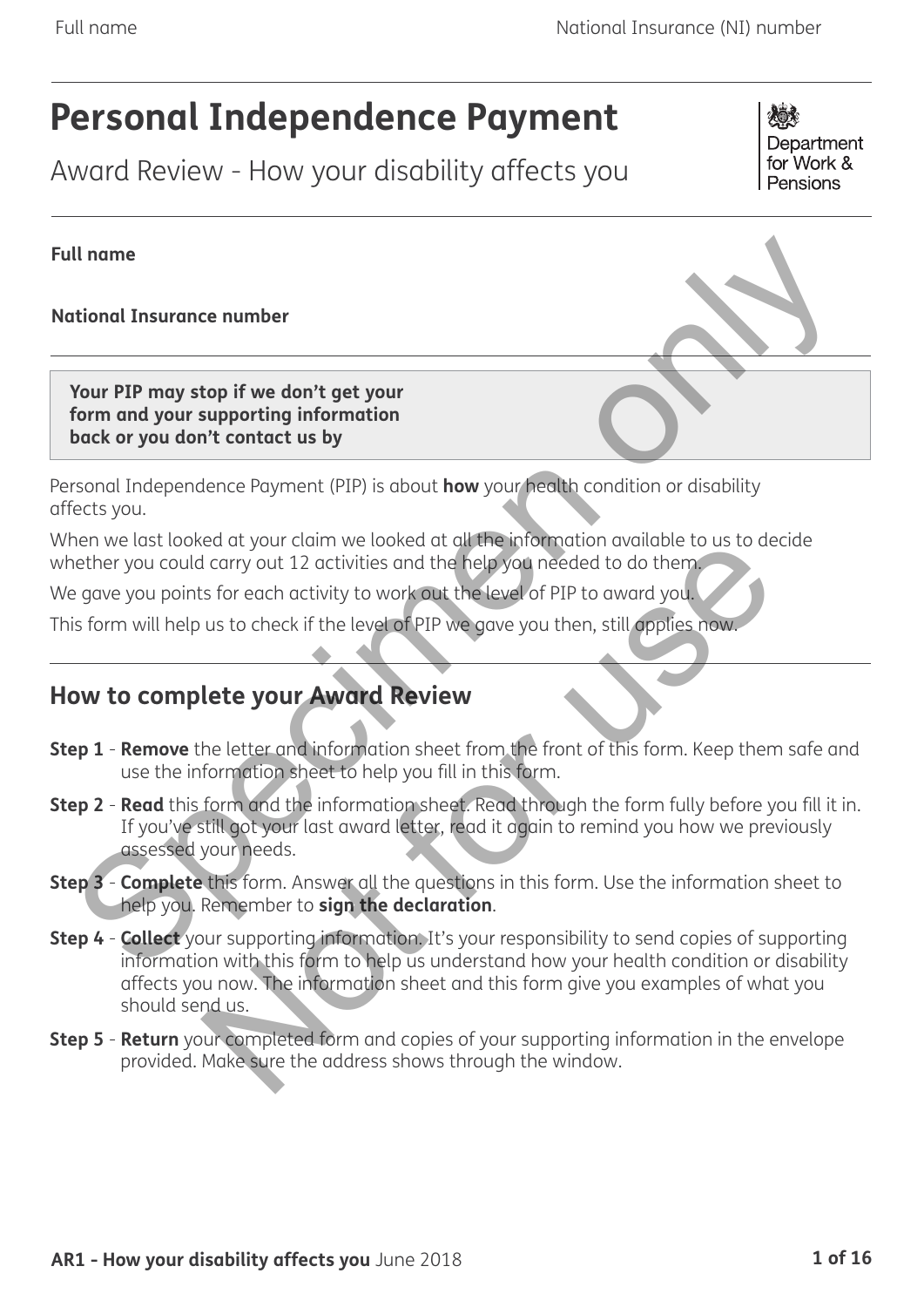# **Personal Independence Payment**

Award Review - How your disability affects you

Department for Work & Pensions

**Full name**

**National Insurance number**

**Your PIP may stop if we don't get your form and your supporting information back or you don't contact us by**

Personal Independence Payment (PIP) is about **how** your health condition or disability affects you.

When we last looked at your claim we looked at all the information available to us to decide whether you could carry out 12 activities and the help you needed to do them.

We gave you points for each activity to work out the level of PIP to award you.

This form will help us to check if the level of PIP we gave you then, still applies now.

# **How to complete your Award Review**

- **Step 1 Remove** the letter and information sheet from the front of this form. Keep them safe and use the information sheet to help you fill in this form.
- **Step 2 Read** this form and the information sheet. Read through the form fully before you fill it in. If you've still got your last award letter, read it again to remind you how we previously assessed your needs. Il name<br> **Source Progression** of the don't get your<br> **Source Progression** of the don't get your<br>
Special Independence Payment (PIP) is about how your feed in condition or disability<br>
specifically condition and the specific
- **Step 3 Complete** this form. Answer all the questions in this form. Use the information sheet to help you. Remember to **sign the declaration**.
- **Step 4 Collect** your supporting information. It's your responsibility to send copies of supporting information with this form to help us understand how your health condition or disability affects you now. The information sheet and this form give you examples of what you should send us. The state of the minimum to looked at a three information available to us to detect a tyour claim to looke the distribution and the help you needed to do them<br>the corry out 12 activity to work out the level of PIP to award
- **Step 5 Return** your completed form and copies of your supporting information in the envelope provided. Make sure the address shows through the window.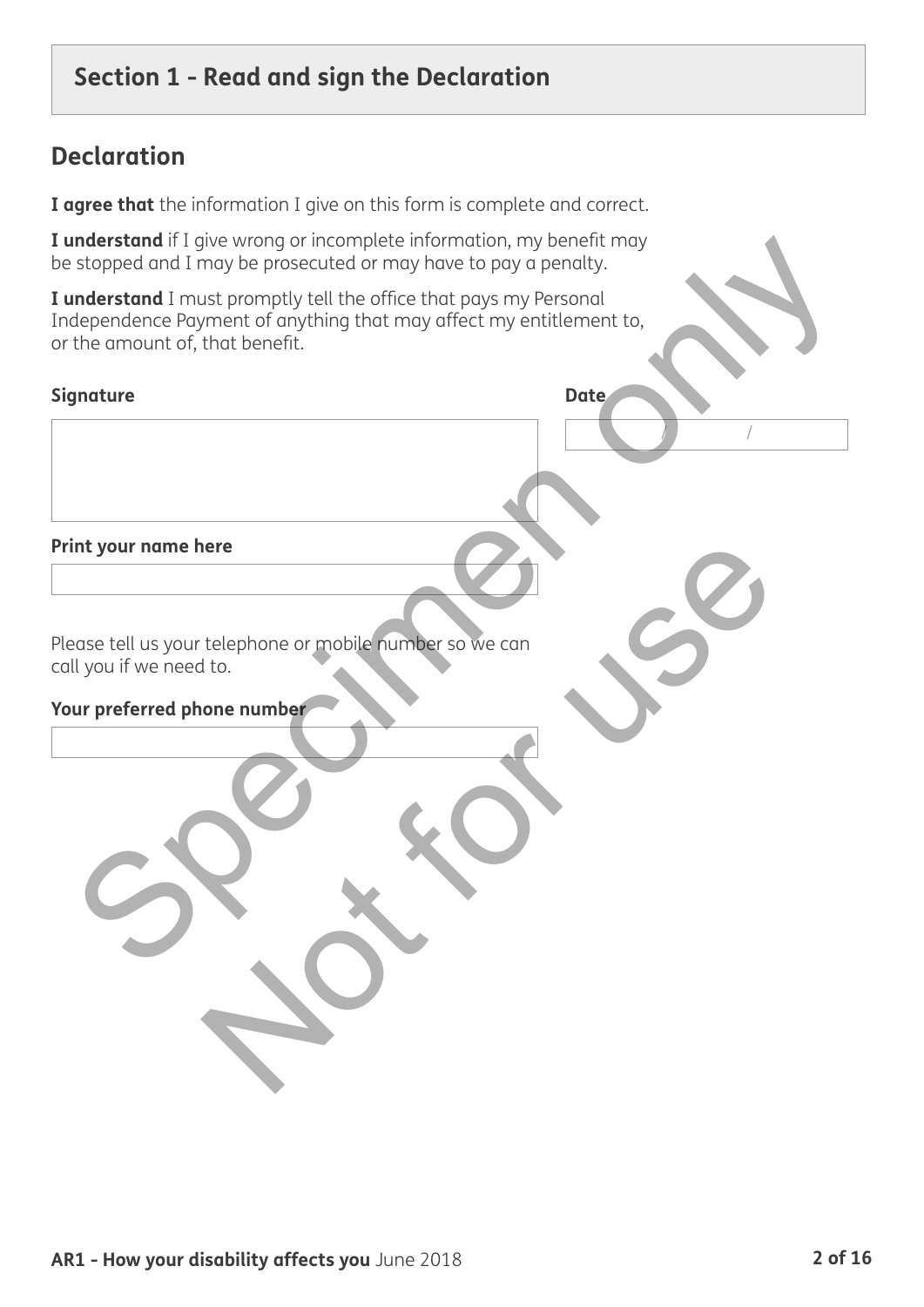# **Section 1 - Read and sign the Declaration**

# **Declaration**

**I agree that** the information I give on this form is complete and correct.

**I understand** if I give wrong or incomplete information, my benefit may be stopped and I may be prosecuted or may have to pay a penalty.

**I understand** I must promptly tell the office that pays my Personal Independence Payment of anything that may affect my entitlement to, or the amount of, that benefit. materstand if give wrong or incomplete information, my benefit that pay the prediction and most proped or may have to pay a pencity.<br>
Inderstand I must promptly tell the office that pays my Personal<br>
the amount of, that be

**Date**

/ /

### **Signature**

### **Print your name here**

Please tell us your telephone or mobile number so we can call you if we need to. telephone or mobile number so we can<br>one number<br>Content of the content of the content of the content of the content of the content of the content of the content<br>Content of the content of the content of the content of the c

### **Your preferred phone number**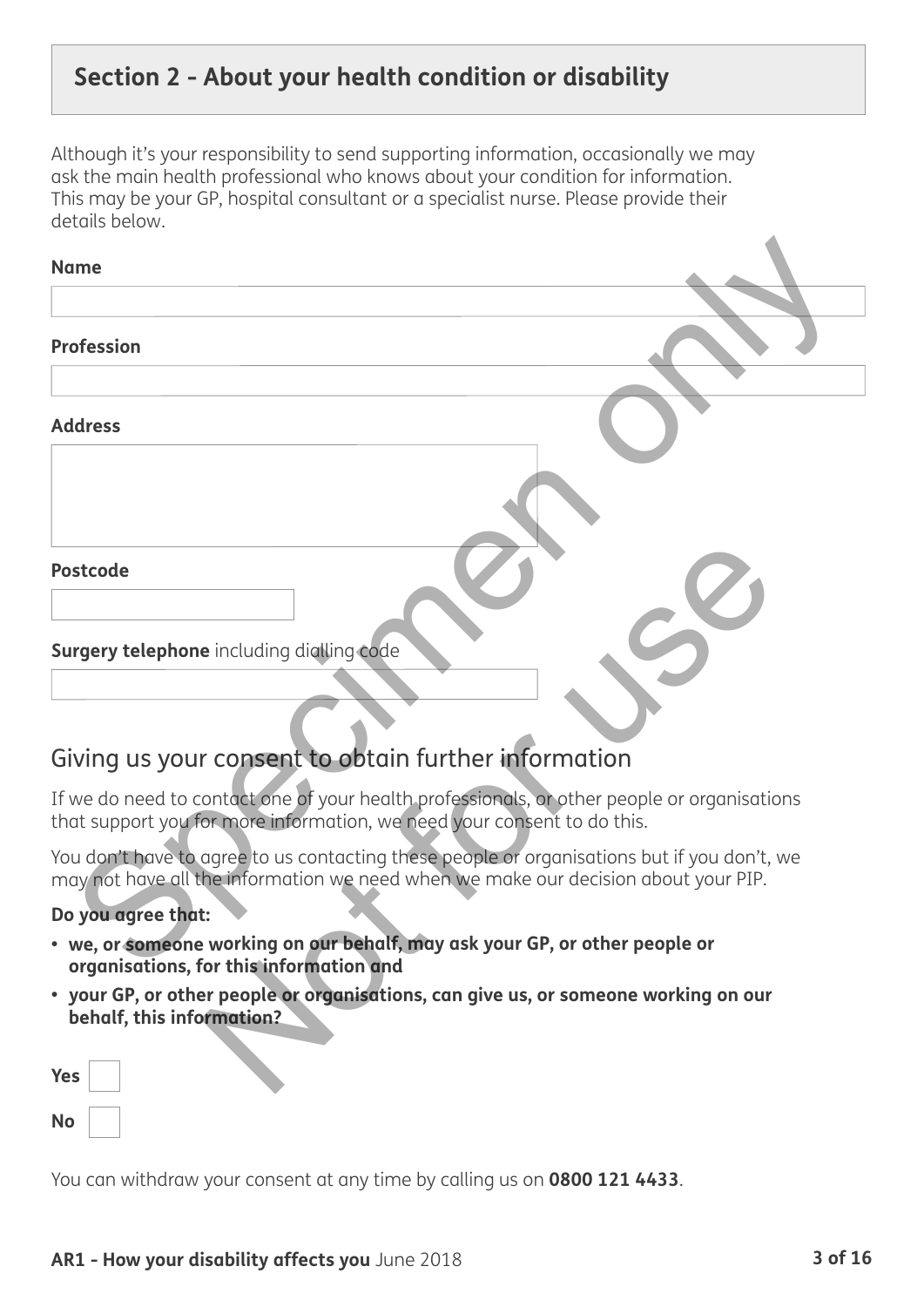# **Section 2 - About your health condition or disability**

Although it's your responsibility to send supporting information, occasionally we may ask the main health professional who knows about your condition for information. This may be your GP, hospital consultant or a specialist nurse. Please provide their details below.

### **Name**

### **Profession**

### **Address**

**Postcode**

### **Surgery telephone** including dialling code

# Giving us your consent to obtain further information

If we do need to contact one of your health professionals, or other people or organisations that support you for more information, we need your consent to do this. me<br>
State of the method of the method of the method of the method of the method of the method of the method of the<br>
Specifical specifications of the method of the method of the method of the method of the method of the met e including dialling code<br>
a including dialling code<br>
The contract one of your health professionals, or other people or organisation<br>
or more information, we need your consent to do this.<br>
agree to us contacting these peop

You don't have to agree to us contacting these people or organisations but if you don't, we may not have all the information we need when we make our decision about your PIP.

### **Do you agree that:**

- **• we, or someone working on our behalf, may ask your GP, or other people or organisations, for this information and**
- **• your GP, or other people or organisations, can give us, or someone working on our behalf, this information?**

| <b>Yes</b> |  |
|------------|--|
| <b>No</b>  |  |

You can withdraw your consent at any time by calling us on **0800 121 4433**.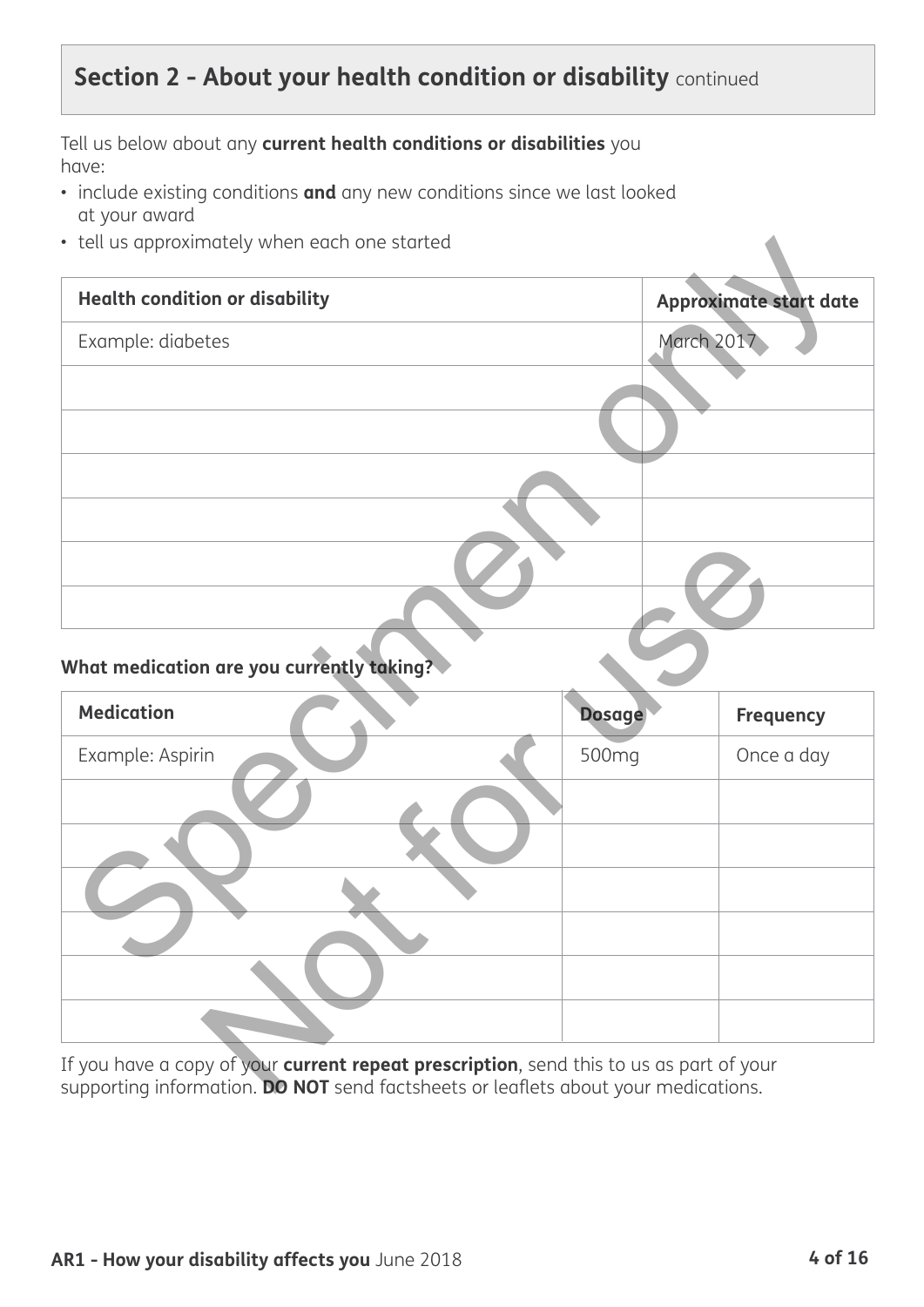# **Section 2 - About your health condition or disability** continued

Tell us below about any **current health conditions or disabilities** you have:

- include existing conditions **and** any new conditions since we last looked at your award
- tell us approximately when each one started

| <b>Health condition or disability</b>                                              |               | Approximate start date |
|------------------------------------------------------------------------------------|---------------|------------------------|
| Example: diabetes                                                                  |               | March 2017             |
|                                                                                    |               |                        |
|                                                                                    |               |                        |
|                                                                                    |               |                        |
|                                                                                    |               |                        |
|                                                                                    |               |                        |
|                                                                                    |               |                        |
|                                                                                    |               |                        |
|                                                                                    |               |                        |
|                                                                                    | <b>Dosage</b> | <b>Frequency</b>       |
|                                                                                    | 500mg         | Once a day             |
|                                                                                    |               |                        |
|                                                                                    |               |                        |
| What medication are you currently taking?<br><b>Medication</b><br>Example: Aspirin |               |                        |

### **What medication are you currently taking?**

| What medication are you currently taking?                                                                                                                                     |               |                  |
|-------------------------------------------------------------------------------------------------------------------------------------------------------------------------------|---------------|------------------|
| <b>Medication</b>                                                                                                                                                             | <b>Dosage</b> | <b>Frequency</b> |
| Example: Aspirin                                                                                                                                                              | 500mg         | Once a day       |
|                                                                                                                                                                               |               |                  |
|                                                                                                                                                                               |               |                  |
|                                                                                                                                                                               |               |                  |
|                                                                                                                                                                               |               |                  |
|                                                                                                                                                                               |               |                  |
|                                                                                                                                                                               |               |                  |
| If you have a copy of your current repeat prescription, send this to us as part of your<br>supporting information. DO NOT send factsheets or leaflets about your medications. |               |                  |

If you have a copy of your **current repeat prescription**, send this to us as part of your supporting information. **DO NOT** send factsheets or leaflets about your medications.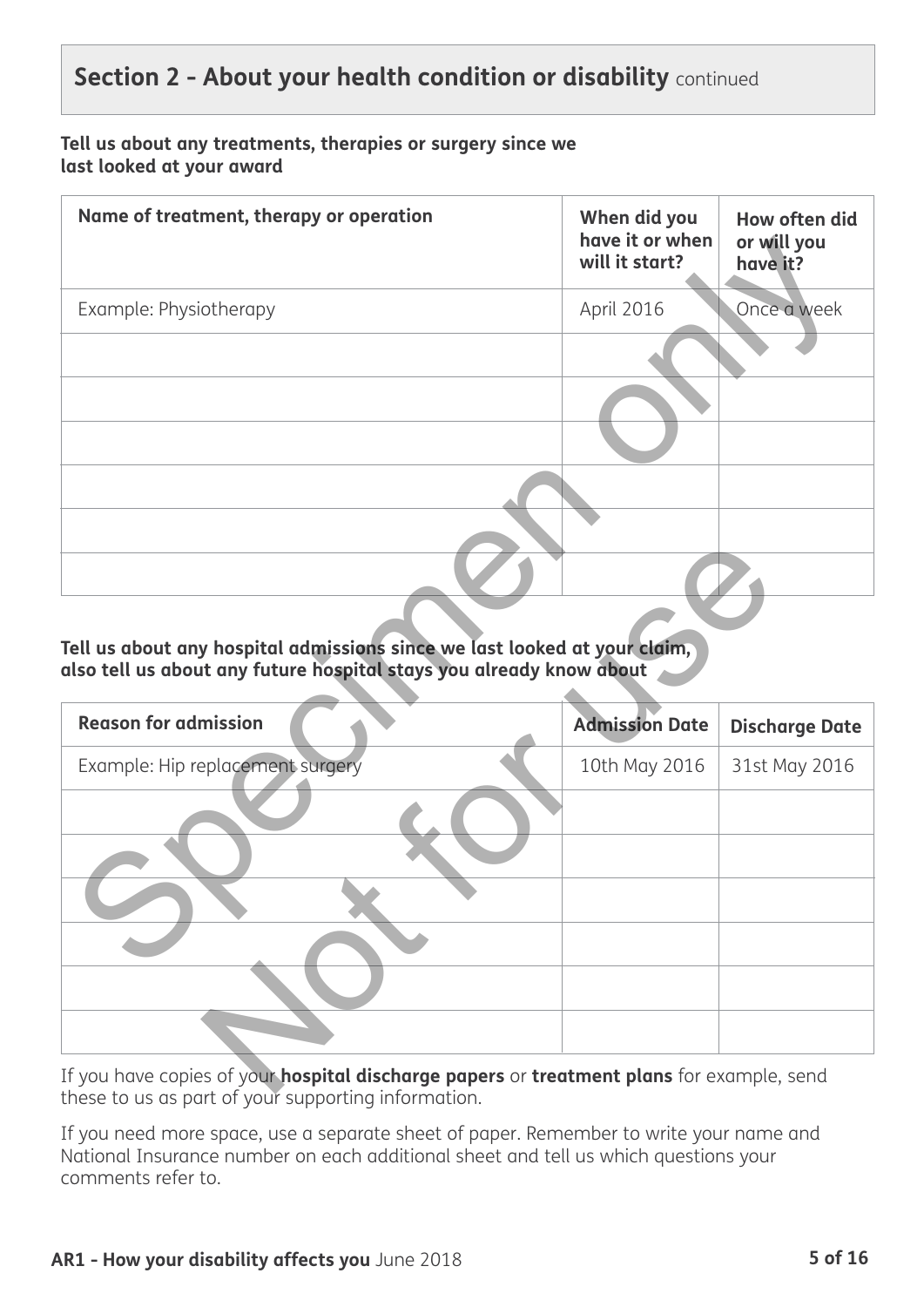# **Section 2 - About your health condition or disability** continued

### **Tell us about any treatments, therapies or surgery since we last looked at your award**

| Name of treatment, therapy or operation                                                                                                          | When did you<br>have it or when<br>will it start? | <b>How often did</b><br>or will you<br>have it? |
|--------------------------------------------------------------------------------------------------------------------------------------------------|---------------------------------------------------|-------------------------------------------------|
| Example: Physiotherapy                                                                                                                           | April 2016                                        | Once a week                                     |
|                                                                                                                                                  |                                                   |                                                 |
|                                                                                                                                                  |                                                   |                                                 |
|                                                                                                                                                  |                                                   |                                                 |
|                                                                                                                                                  |                                                   |                                                 |
|                                                                                                                                                  |                                                   |                                                 |
| Tell us about any hospital admissions since we last looked at your claim,<br>also tell us about any future hospital stays you already know about |                                                   |                                                 |
| <b>Reason for admission</b>                                                                                                                      | <b>Admission Date</b>                             | <b>Discharge Date</b>                           |
| Example: Hip replacement surgery                                                                                                                 | 10th May 2016                                     | 31st May 2016                                   |
|                                                                                                                                                  |                                                   |                                                 |
|                                                                                                                                                  |                                                   |                                                 |
|                                                                                                                                                  |                                                   |                                                 |
|                                                                                                                                                  |                                                   |                                                 |

| Tell us about any hospital admissions since we last looked at your claim,<br>also tell us about any future hospital stays you already know about                                                                                                 |                       |                       |
|--------------------------------------------------------------------------------------------------------------------------------------------------------------------------------------------------------------------------------------------------|-----------------------|-----------------------|
| <b>Reason for admission</b>                                                                                                                                                                                                                      | <b>Admission Date</b> | <b>Discharge Date</b> |
| Example: Hip replacement surgery                                                                                                                                                                                                                 | 10th May 2016         | 31st May 2016         |
|                                                                                                                                                                                                                                                  |                       |                       |
|                                                                                                                                                                                                                                                  |                       |                       |
|                                                                                                                                                                                                                                                  |                       |                       |
|                                                                                                                                                                                                                                                  |                       |                       |
|                                                                                                                                                                                                                                                  |                       |                       |
|                                                                                                                                                                                                                                                  |                       |                       |
| If you have copies of your hospital discharge papers or treatment plans for example, send<br>$\sim$ $\sim$ $\sim$ $\sim$<br><b>Contract Contract Contract</b><br>the contract of the contract of the contract of the contract of the contract of |                       |                       |

If you have copies of your **hospital discharge papers** or **treatment plans** for example, send these to us as part of your supporting information.

If you need more space, use a separate sheet of paper. Remember to write your name and National Insurance number on each additional sheet and tell us which questions your comments refer to.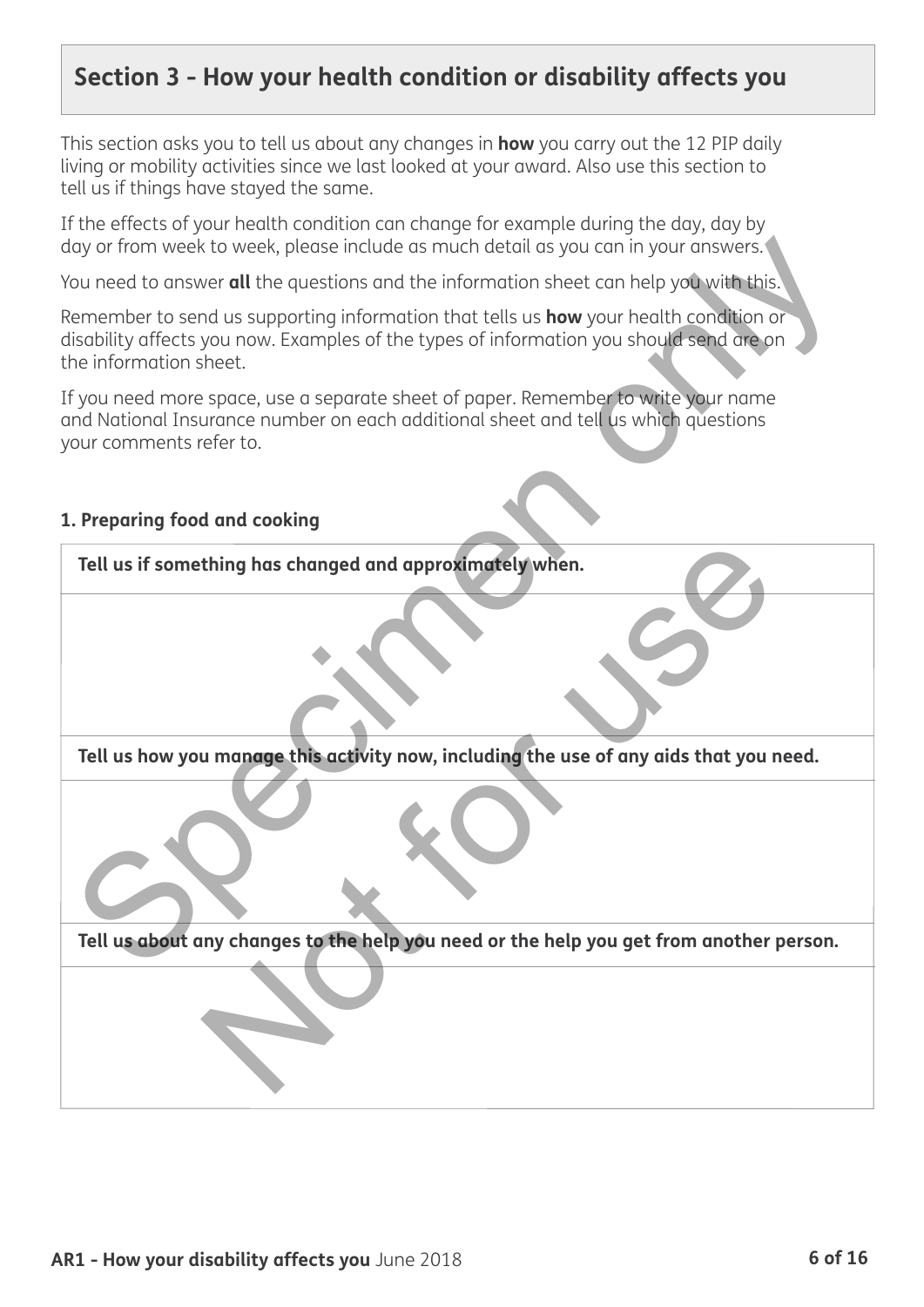# **Section 3 - How your health condition or disability affects you**

This section asks you to tell us about any changes in **how** you carry out the 12 PIP daily living or mobility activities since we last looked at your award. Also use this section to tell us if things have stayed the same.

If the effects of your health condition can change for example during the day, day by day or from week to week, please include as much detail as you can in your answers.

You need to answer **all** the questions and the information sheet can help you with this.

Remember to send us supporting information that tells us **how** your health condition or disability affects you now. Examples of the types of information you should send are on the information sheet. ray or from week to week, please include as much detail as you can in your answers.<br>
su need to answer all the questions and the information sheet can help you write this<br>
emember to send us supporting information that tel

If you need more space, use a separate sheet of paper. Remember to write your name and National Insurance number on each additional sheet and tell us which questions your comments refer to.

### **1. Preparing food and cooking**

**Tell us if something has changed and approximately when.**

**Tell us how you manage this activity now, including the use of any aids that you need.** thing has changed and approximately when.<br>
w manage this activity now, including the use of any aids that you is<br>
sured by the help you need or the help you get from another<br>
sured by the help you need or the help you get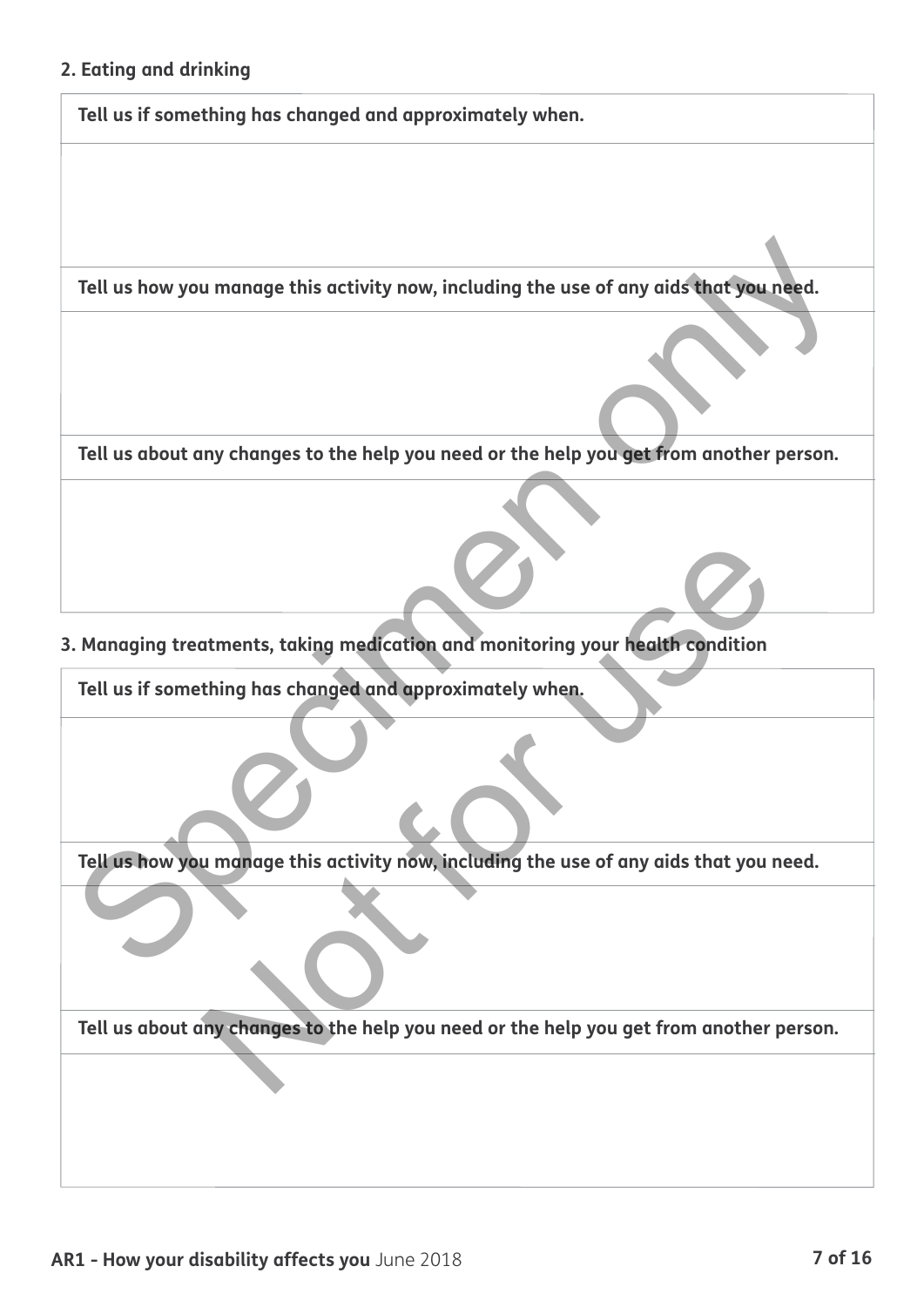### **2. Eating and drinking**

**Tell us if something has changed and approximately when.**

**Tell us how you manage this activity now, including the use of any aids that you need.**

**Tell us about any changes to the help you need or the help you get from another person.** Tell us how you manage this activity now, including the use of any aids that you need.<br>Tell us about any changes to the help you need or the help you get from another person.<br>Tell us if something has changed and approximat

**3. Managing treatments, taking medication and monitoring your health condition** atments, taking medication and monitoring your health condition<br>thing has changed and approximately when<br>a manage this activity now, including the use of any aids that you<br>in analysis to the help you need or the help you g

**Tell us if something has changed and approximately when.**

**Tell us how you manage this activity now, including the use of any aids that you need.**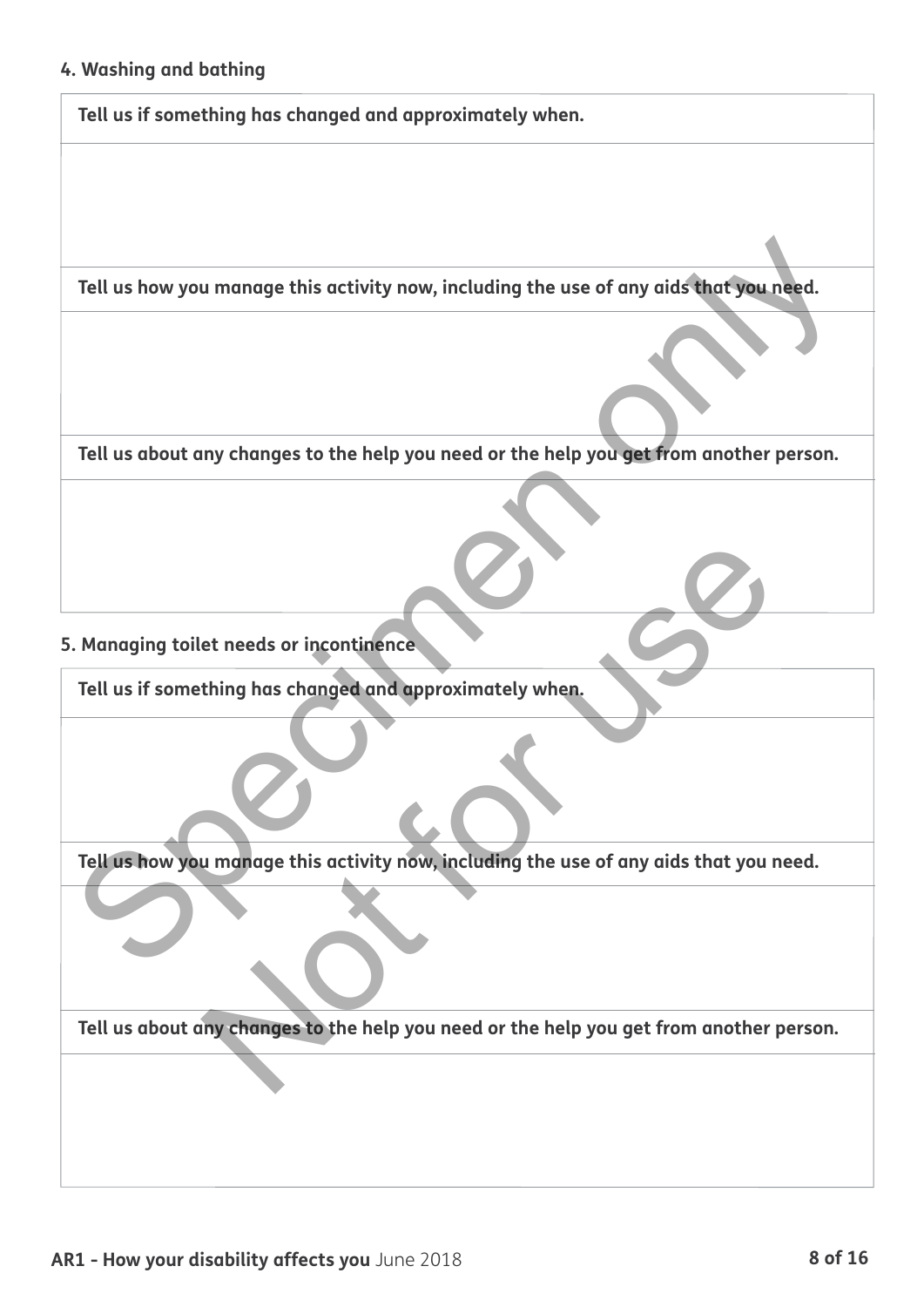### **4. Washing and bathing**

**Tell us if something has changed and approximately when.**

**Tell us how you manage this activity now, including the use of any aids that you need.**

**Tell us about any changes to the help you need or the help you get from another person.** Tell us how you manage this activity now, including the use of any aids that you need.<br>Tell us about any changes to the help you need or the help you get from another person.<br>Tell us if something has changed and approximat

### **5. Managing toilet needs or incontinence**

**Tell us if something has changed and approximately when.**

**Tell us how you manage this activity now, including the use of any aids that you need.**

**Tell us about any changes to the help you need or the help you get from another person.** et needs or incontinence<br>thing has changed and approximately when<br>u manage this activity now, including the use of any aids that you is<br>iny changes to the help you need or the help you get from another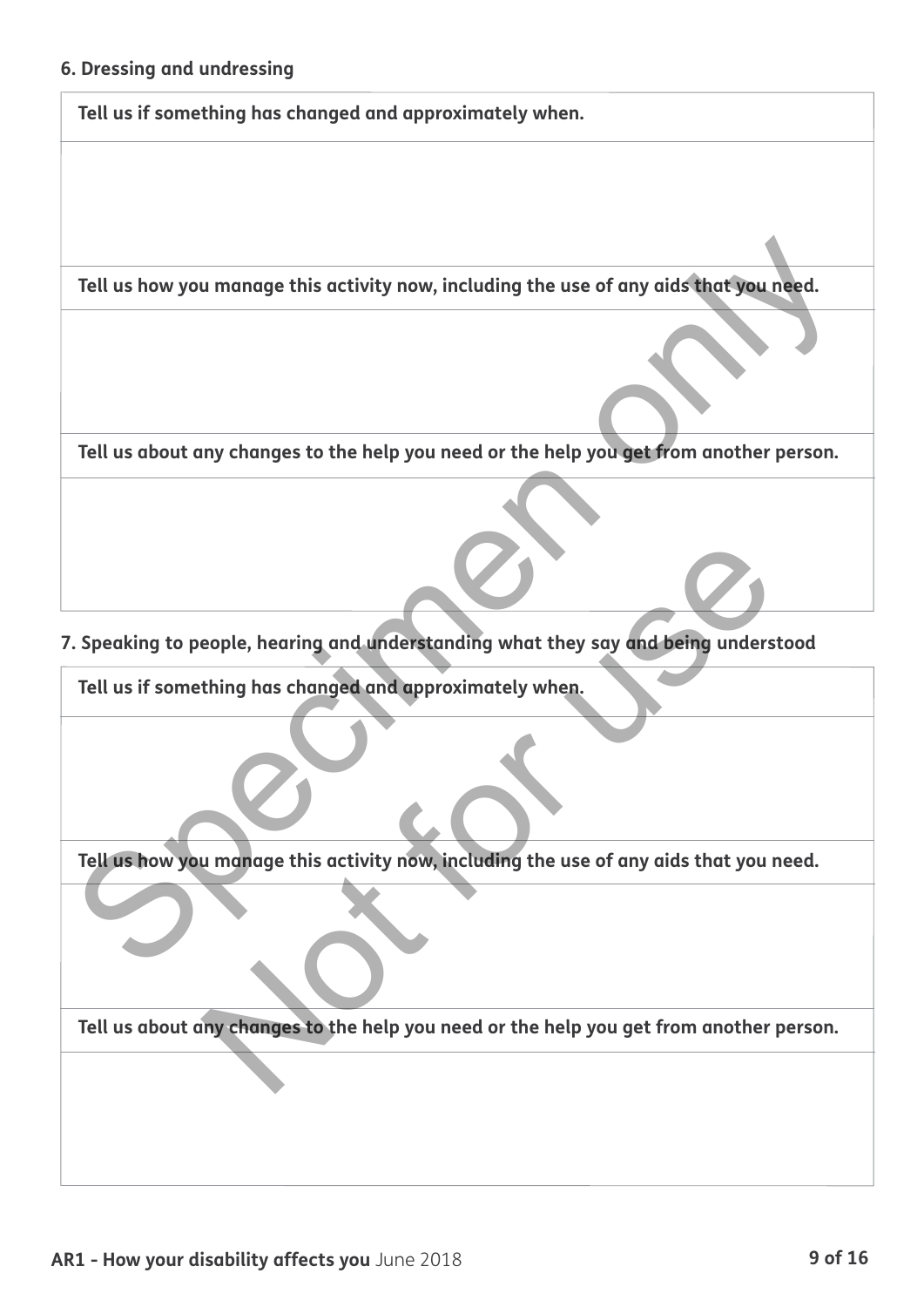### **6. Dressing and undressing**

**Tell us if something has changed and approximately when.**

**Tell us how you manage this activity now, including the use of any aids that you need.**

**Tell us about any changes to the help you need or the help you get from another person.**

# **7. Speaking to people, hearing and understanding what they say and being understood** Tell us how you manage this activity now, including the use of any aids that you need.<br>Tell us about any changes to the help you need or the help you get from another person.<br>Tell us if something has changed and approximat eople, hearing and understanding what they say and being understhing has changed and approximately when.<br>This manage this activity now, including the use of any aids that you is<br>introduced by the help you need or the help

**Tell us if something has changed and approximately when.**

**Tell us how you manage this activity now, including the use of any aids that you need.**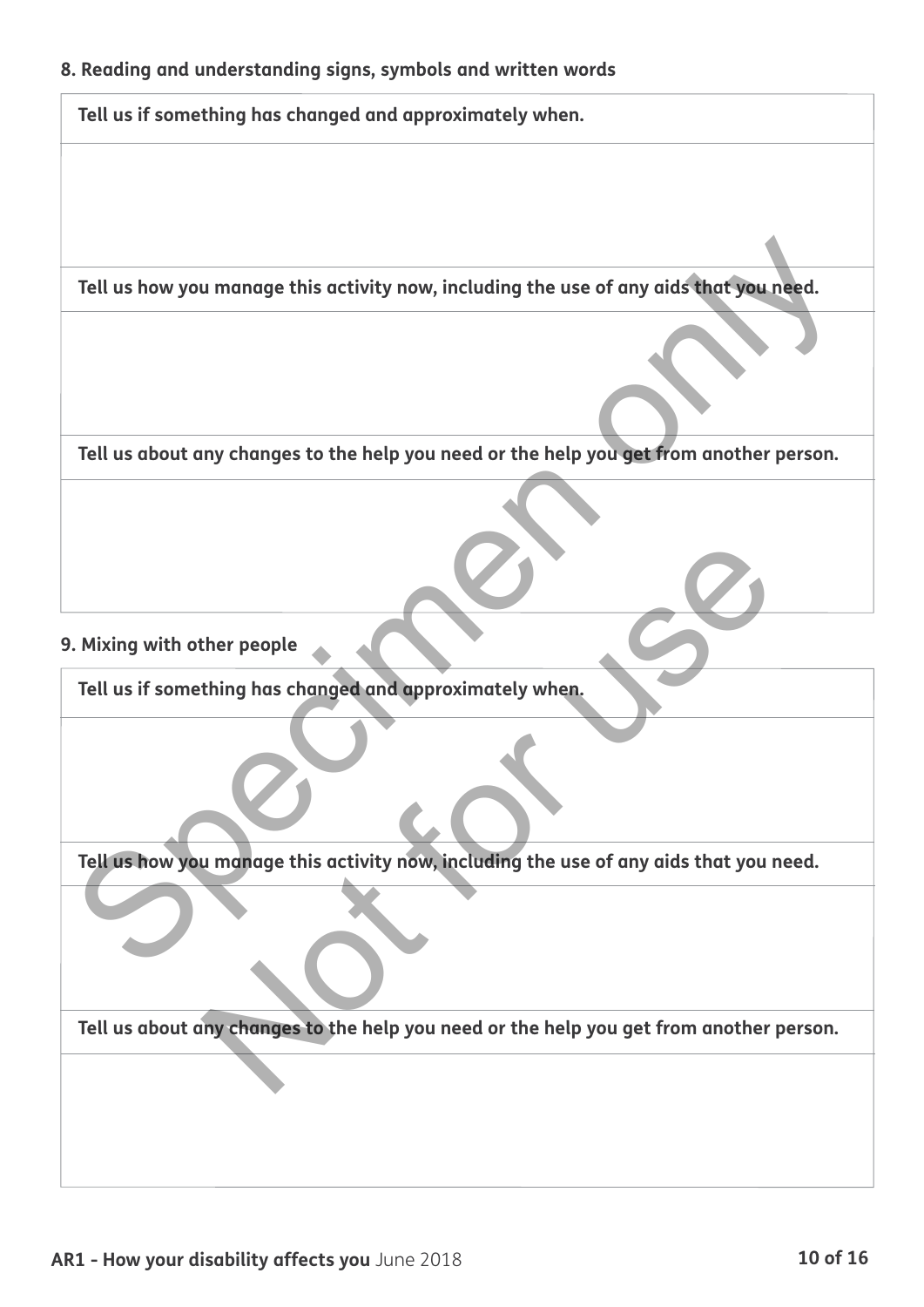### **8. Reading and understanding signs, symbols and written words**

**Tell us if something has changed and approximately when.**

**Tell us how you manage this activity now, including the use of any aids that you need.**

**Tell us about any changes to the help you need or the help you get from another person.** Tell us how you manage this activity now, including the use of any aids that you need.<br>Tell us about any changes to the help you need or the help you get from another person.<br>Tell us if something has changed and approximat

### **9. Mixing with other people**

**Tell us if something has changed and approximately when.**

**Tell us how you manage this activity now, including the use of any aids that you need.** ther people<br>thing has changed and approximately when<br>u manage this activity now, including the use of any aids that you is<br>iny changes to the help you need or the help you get from another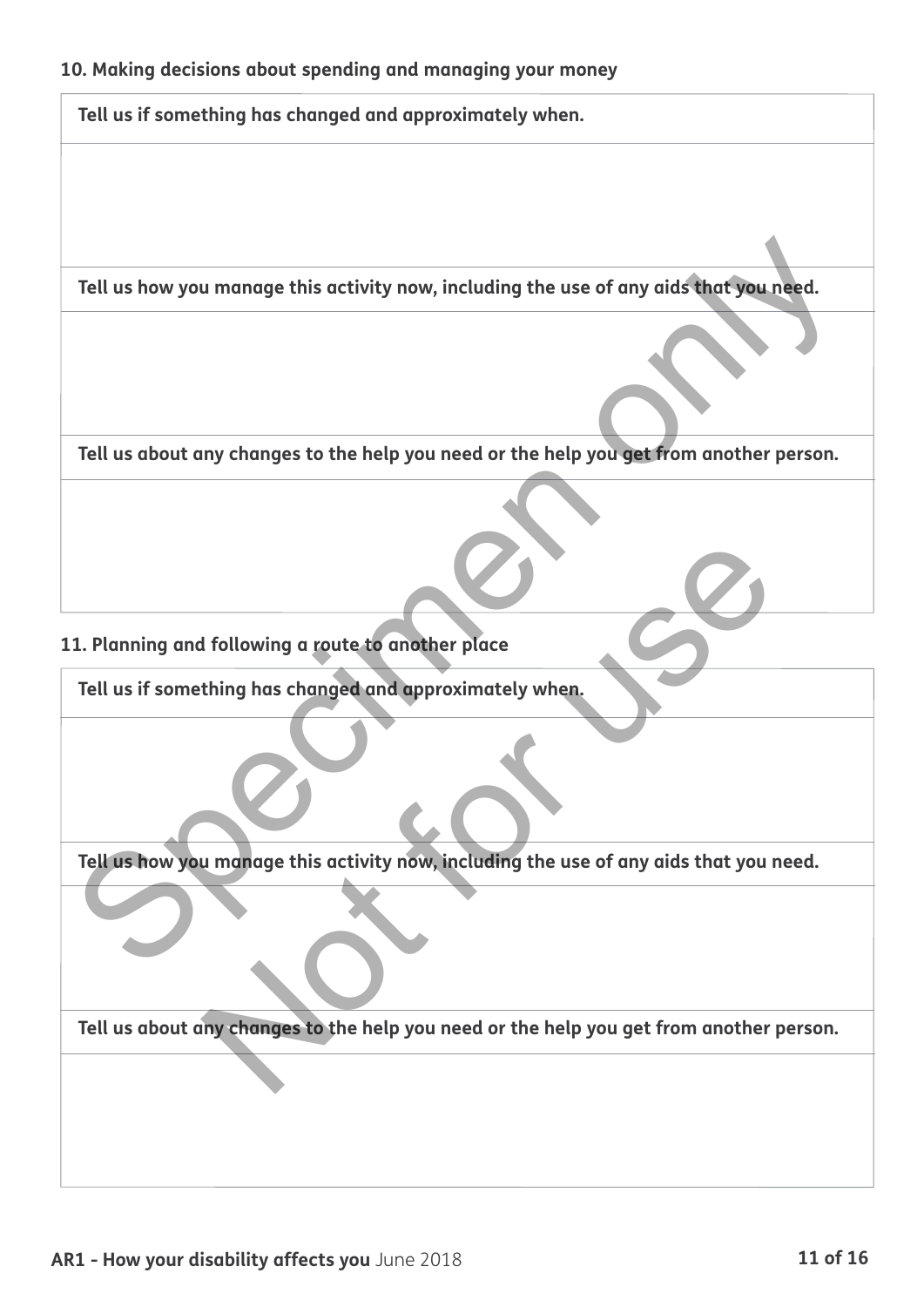### **10. Making decisions about spending and managing your money**

**Tell us if something has changed and approximately when.**

**Tell us how you manage this activity now, including the use of any aids that you need.**

**Tell us about any changes to the help you need or the help you get from another person.** Tell us how you manage this activity now, including the use of any aids that you need.<br>Tell us about any changes to the help you need or the help you get from another person.<br>Tell us if something has changed and approximat

### **11. Planning and following a route to another place**

**Tell us if something has changed and approximately when.**

**Tell us how you manage this activity now, including the use of any aids that you need.** I following a route to another place<br>thing has changed and approximately when<br>u manage this activity now, including the use of any aids that you is<br>iny changes to the help you need or the help you get from another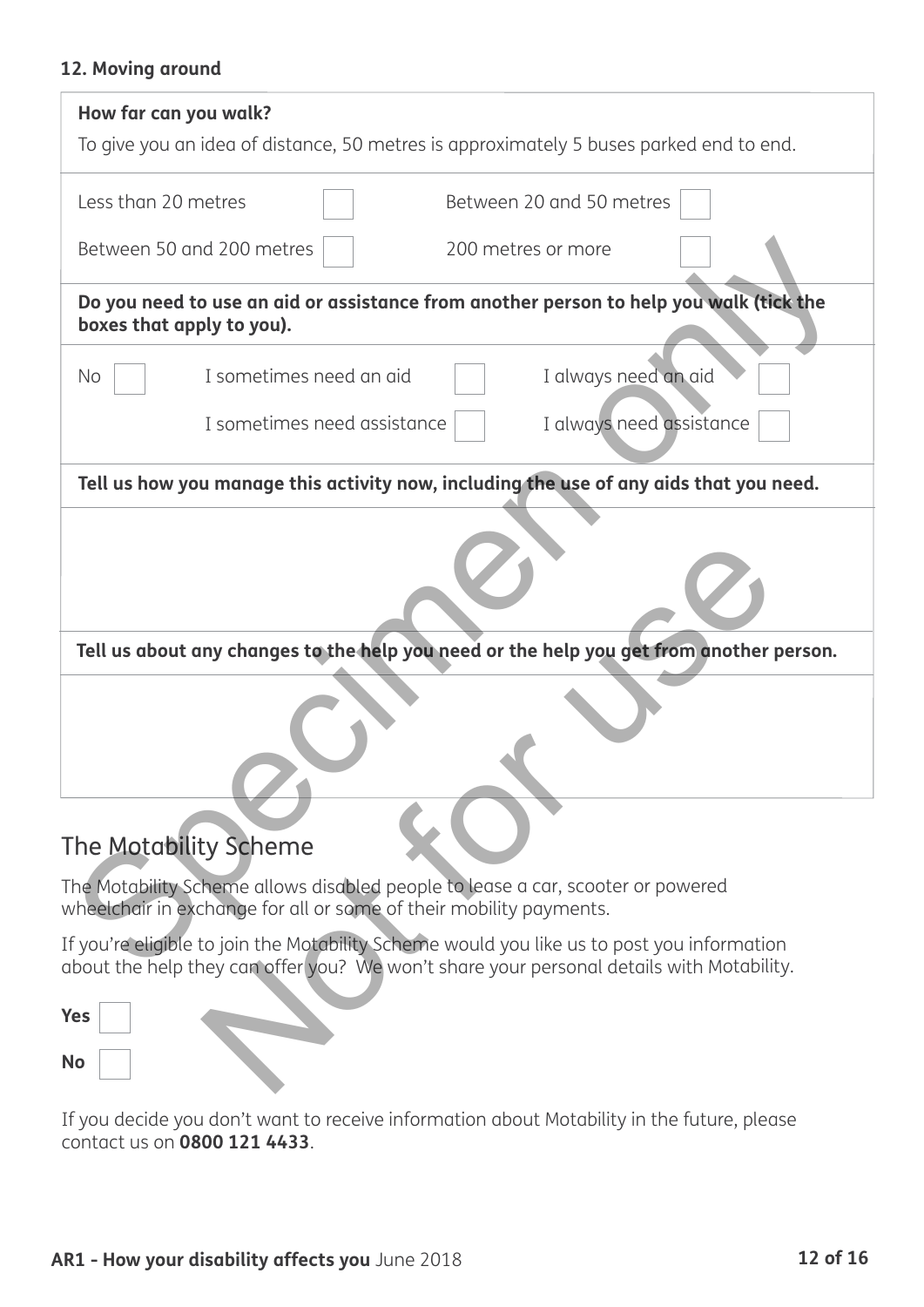### **12. Moving around**

| How far can you walk?                                                                                                                                                                  |
|----------------------------------------------------------------------------------------------------------------------------------------------------------------------------------------|
| To give you an idea of distance, 50 metres is approximately 5 buses parked end to end.                                                                                                 |
| Less than 20 metres<br>Between 20 and 50 metres                                                                                                                                        |
| Between 50 and 200 metres<br>200 metres or more                                                                                                                                        |
| Do you need to use an aid or assistance from another person to help you walk (tick the<br>boxes that apply to you).                                                                    |
| I always need an aid<br>I sometimes need an aid<br>No                                                                                                                                  |
| I always need assistance<br>I sometimes need assistance                                                                                                                                |
| Tell us how you manage this activity now, including the use of any aids that you need.                                                                                                 |
|                                                                                                                                                                                        |
| Tell us about any changes to the help you need or the help you get from another person.                                                                                                |
| The Motability Scheme                                                                                                                                                                  |
| The Motability Scheme allows disabled people to lease a car, scooter or powered<br>wheelchair in exchange for all or some of their mobility payments.                                  |
| If you're eligible to join the Motability Scheme would you like us to post you information<br>about the help they can offer you? We won't share your personal details with Motability. |
| <b>Yes</b>                                                                                                                                                                             |
| <b>No</b>                                                                                                                                                                              |

# The Motability Scheme

| <b>Yes</b> |  |
|------------|--|
| <b>No</b>  |  |

If you decide you don't want to receive information about Motability in the future, please contact us on **0800 121 4433**.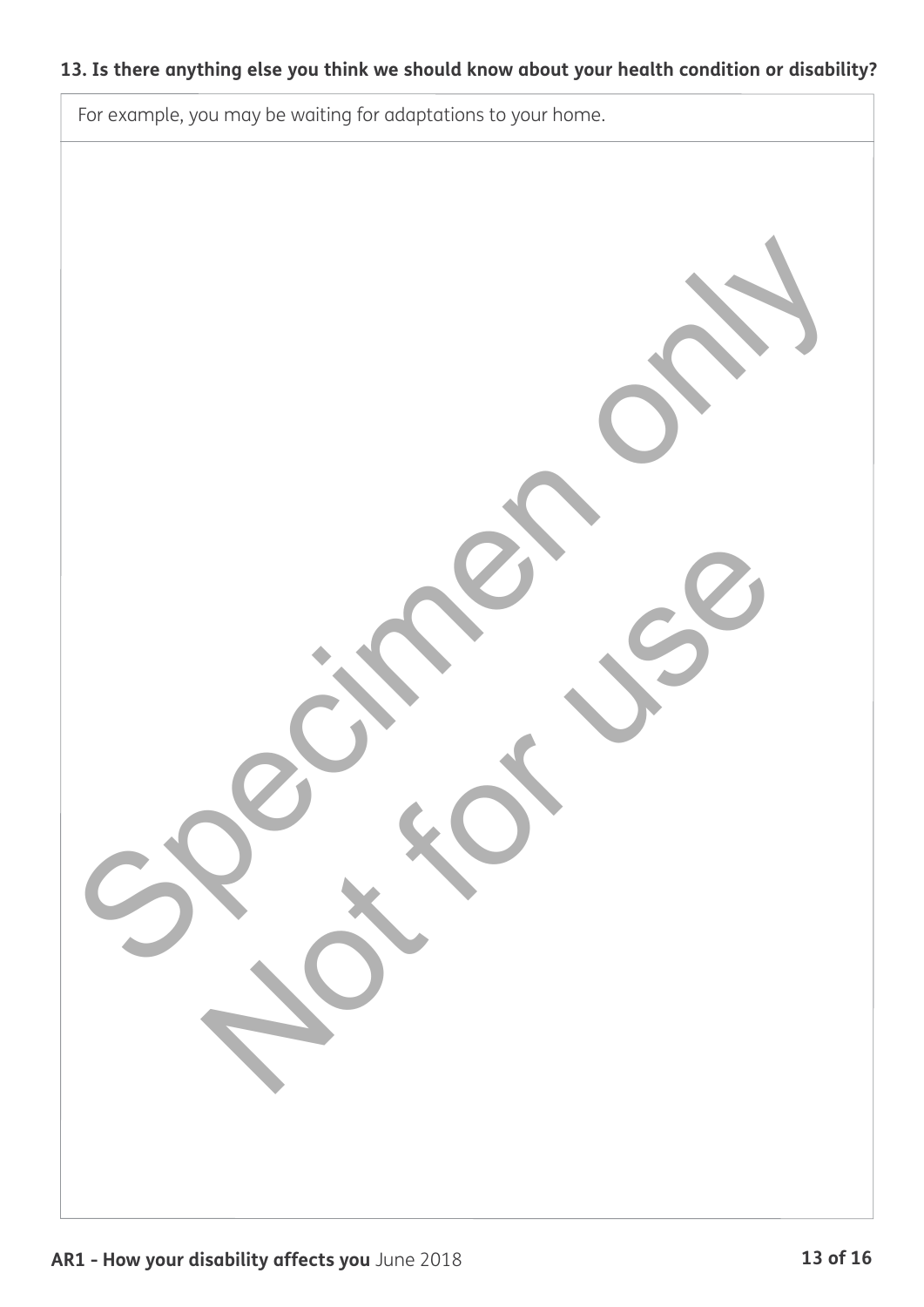## **13. Is there anything else you think we should know about your health condition or disability?**

Specification only

Notice 150

For example, you may be waiting for adaptations to your home.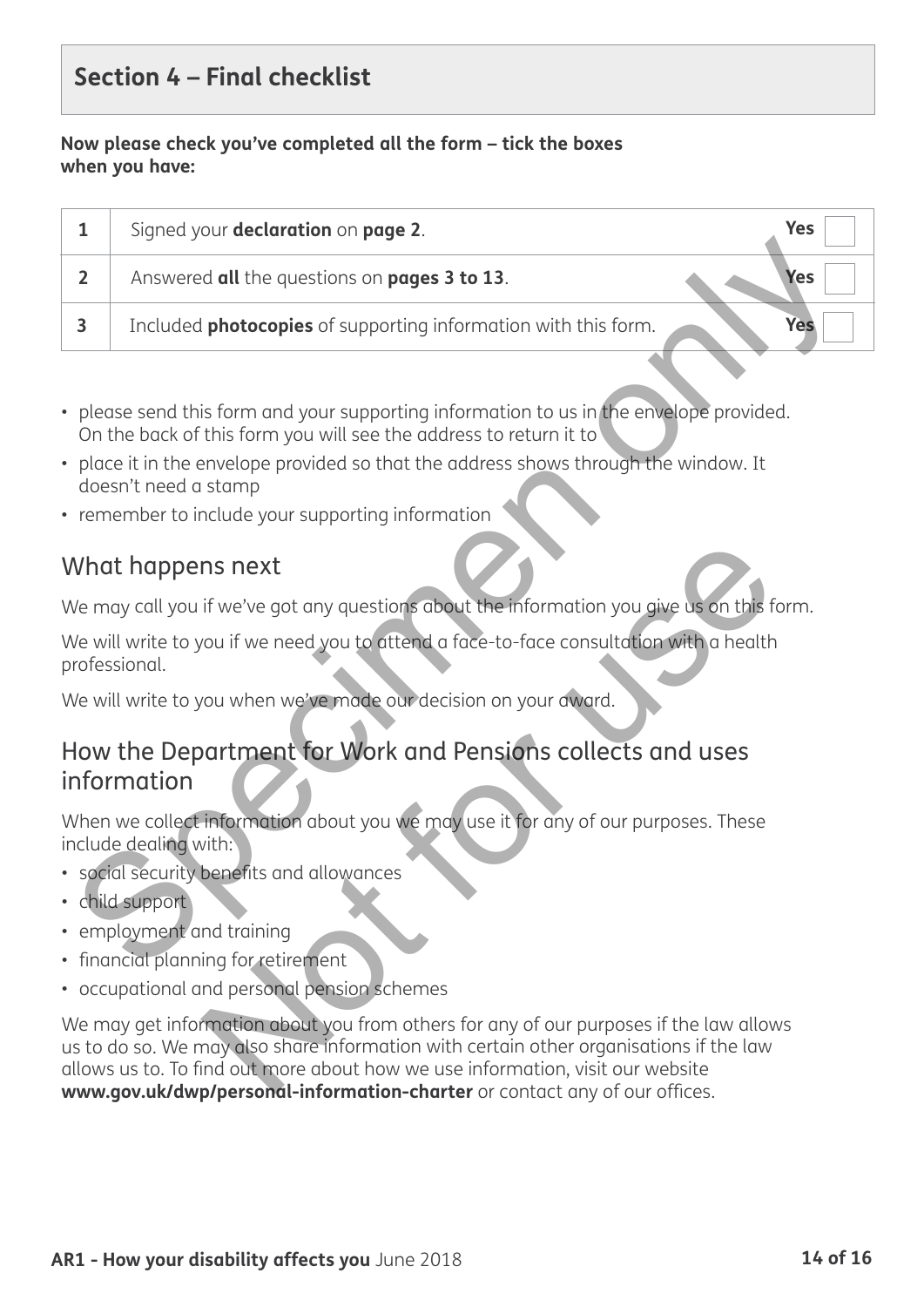### **Now please check you've completed all the form – tick the boxes when you have:**

| <b>Yes</b>                                                                                 |
|--------------------------------------------------------------------------------------------|
| <b>Yes</b>                                                                                 |
| <b>Yes</b>                                                                                 |
|                                                                                            |
| • please send this form and your supporting information to us in the envelope provided.    |
|                                                                                            |
|                                                                                            |
|                                                                                            |
| We may call you if we've got any questions about the information you give us on this form. |
|                                                                                            |
|                                                                                            |
|                                                                                            |
|                                                                                            |
|                                                                                            |
|                                                                                            |
|                                                                                            |
|                                                                                            |

- please send this form and your supporting information to us in the envelope provided. On the back of this form you will see the address to return it to
- place it in the envelope provided so that the address shows through the window. It doesn't need a stamp
- remember to include your supporting information

# What happens next

# How the Department for Work and Pensions collects and uses information

- social security benefits and allowances
- child support
- employment and training
- financial planning for retirement
- occupational and personal pension schemes

We may get information about you from others for any of our purposes if the law allows us to do so. We may also share information with certain other organisations if the law allows us to. To find out more about how we use information, visit our website **www.gov.uk/dwp/personal-information-charter** or contact any of our offices. The method of the information you give us on this<br>if we've got any questions about the information you give us on this<br>from if we need you to attend a face-to-face consultation with a health<br>you when we've made our decisio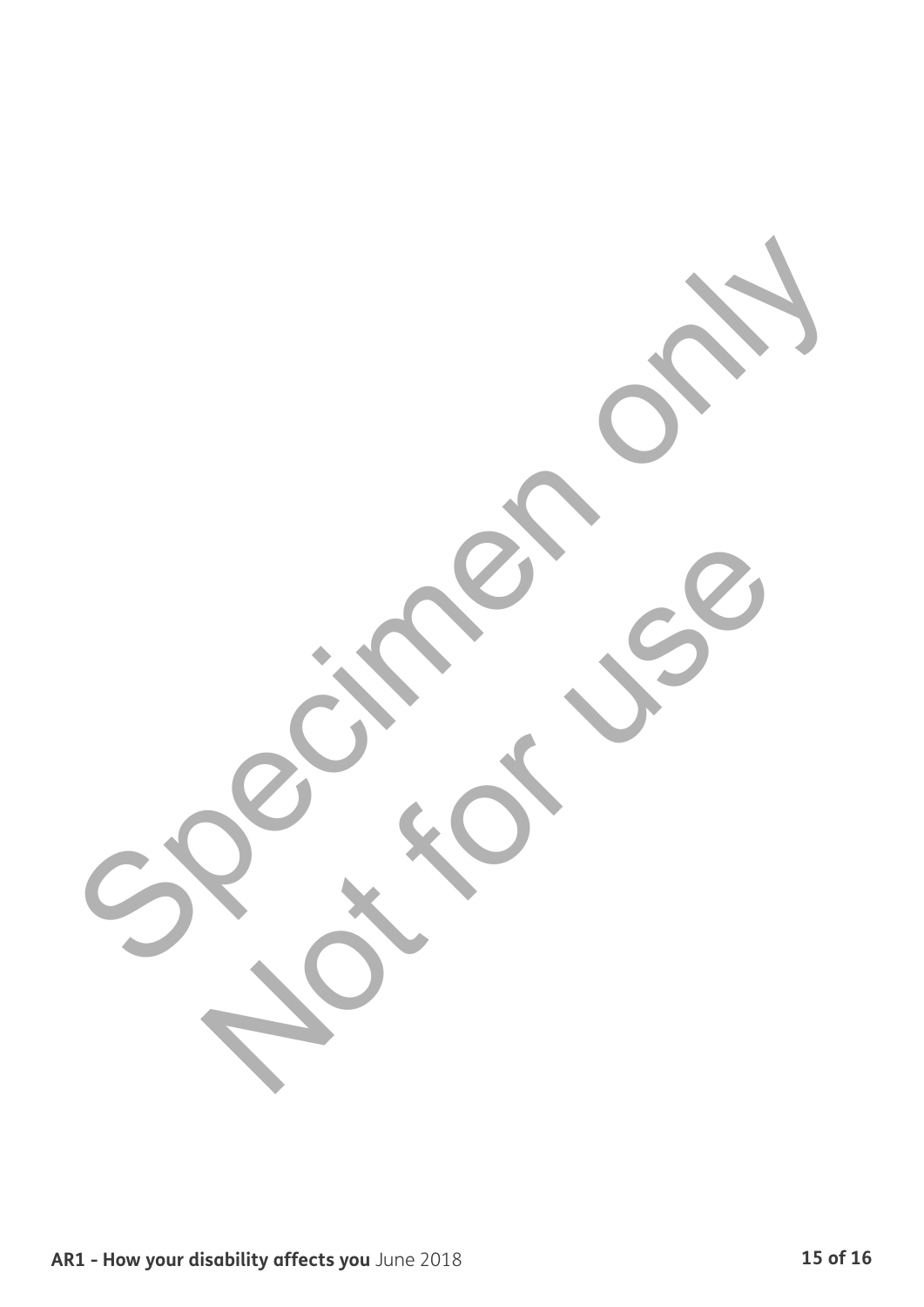